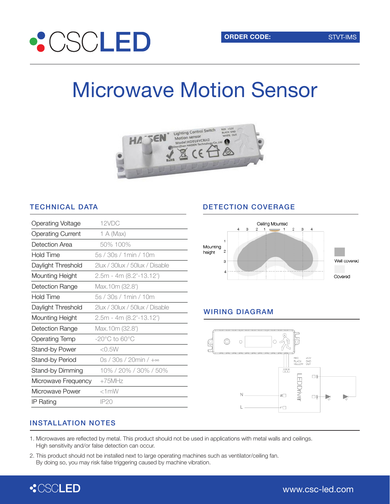

# Microwave Motion Sensor



### TECHNICAL DATA

| <b>Operating Voltage</b> | 12VDC                              |
|--------------------------|------------------------------------|
| <b>Operating Current</b> | 1 A (Max)                          |
| Detection Area           | 50% 100%                           |
| <b>Hold Time</b>         | 5s / 30s / 1min / 10m              |
| Daylight Threshold       | 2lux / 30lux / 50lux / Disable     |
| Mounting Height          | $2.5m - 4m (8.2 - 13.12)$          |
| Detection Range          | Max.10m (32.8')                    |
| Hold Time                | 5s / 30s / 1min / 10m              |
| Daylight Threshold       | 2lux / 30lux / 50lux / Disable     |
| Mounting Height          | $2.5m - 4m (8.2 - 13.12)$          |
| Detection Range          | Max.10m (32.8')                    |
| <b>Operating Temp</b>    | $-20^{\circ}$ C to 60 $^{\circ}$ C |
| <b>Stand-by Power</b>    | $<$ 0.5 W                          |
| Stand-by Period          | 0s / 30s / 20min / +∞              |
| Stand-by Dimming         | 10% / 20% / 30% / 50%              |
| Microwave Frequency      | $+75$ MHz                          |
| Microwave Power          | $<1$ mW                            |
| IP Rating                | IP20                               |

### DETECTION COVERAGE



### WIRING DIAGRAM



### INSTALLATION NOTES

- 1. Microwaves are reflected by metal. This product should not be used in applications with metal walls and ceilings. High sensitivity and/or false detection can occur.
- 2. This product should not be installed next to large operating machines such as ventilator/ceiling fan. By doing so, you may risk false triggering caused by machine vibration.